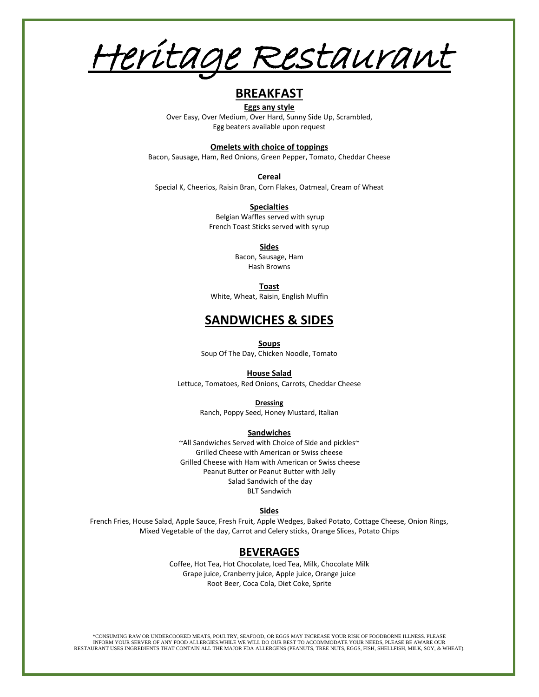Heritage Restaurant

# **BREAKFAST**

**Eggs any style** Over Easy, Over Medium, Over Hard, Sunny Side Up, Scrambled, Egg beaters available upon request

# **Omelets with choice of toppings**

Bacon, Sausage, Ham, Red Onions, Green Pepper, Tomato, Cheddar Cheese

**Cereal**  Special K, Cheerios, Raisin Bran, Corn Flakes, Oatmeal, Cream of Wheat

> **Specialties**  Belgian Waffles served with syrup French Toast Sticks served with syrup

> > **Sides** Bacon, Sausage, Ham Hash Browns

> > > **Toast**

White, Wheat, Raisin, English Muffin

# **SANDWICHES & SIDES**

**Soups**

Soup Of The Day, Chicken Noodle, Tomato

#### **House Salad**

Lettuce, Tomatoes, Red Onions, Carrots, Cheddar Cheese

**Dressing**

Ranch, Poppy Seed, Honey Mustard, Italian

# **Sandwiches**

~All Sandwiches Served with Choice of Side and pickles~ Grilled Cheese with American or Swiss cheese Grilled Cheese with Ham with American or Swiss cheese Peanut Butter or Peanut Butter with Jelly Salad Sandwich of the day BLT Sandwich

#### **Sides**

French Fries, House Salad, Apple Sauce, Fresh Fruit, Apple Wedges, Baked Potato, Cottage Cheese, Onion Rings, Mixed Vegetable of the day, Carrot and Celery sticks, Orange Slices, Potato Chips

# **BEVERAGES**

Coffee, Hot Tea, Hot Chocolate, Iced Tea, Milk, Chocolate Milk Grape juice, Cranberry juice, Apple juice, Orange juice Root Beer, Coca Cola, Diet Coke, Sprite

\*CONSUMING RAW OR UNDERCOOKED MEATS, POULTRY, SEAFOOD, OR EGGS MAY INCREASE YOUR RISK OF FOODBORNE ILLNESS. PLEASE INFORM YOUR SERVER OF ANY FOOD ALLERGIES.WHILE WE WILL DO OUR BEST TO ACCOMMODATE YOUR NEEDS, PLEASE BE AWARE OUR RESTAURANT USES INGREDIENTS THAT CONTAIN ALL THE MAJOR FDA ALLERGENS (PEANUTS, TREE NUTS, EGGS, FISH, SHELLFISH, MILK, SOY, & WHEAT).